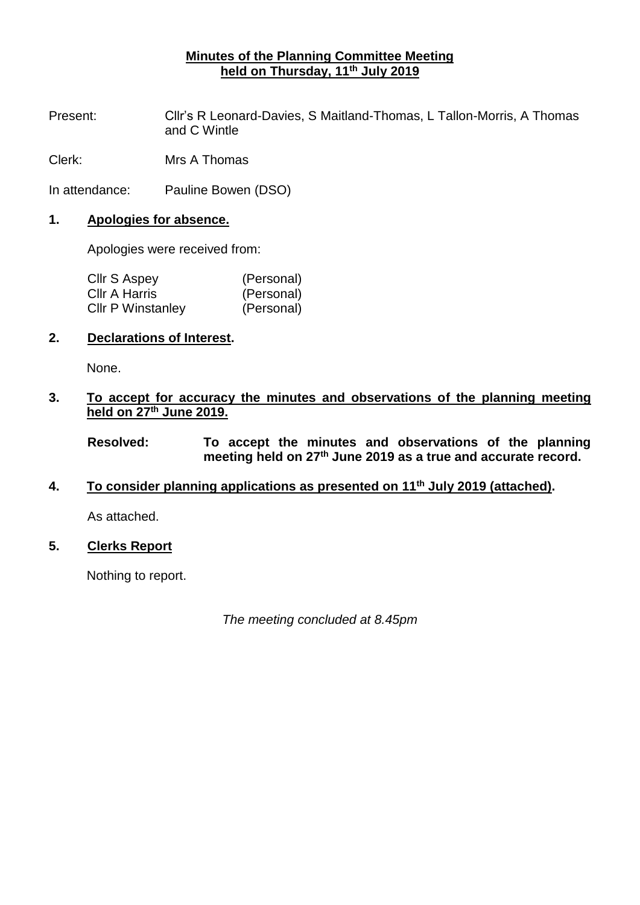# **Minutes of the Planning Committee Meeting held on Thursday, 11th July 2019**

Present: Cllr's R Leonard-Davies, S Maitland-Thomas, L Tallon-Morris, A Thomas and C Wintle

Clerk: Mrs A Thomas

In attendance: Pauline Bowen (DSO)

#### **1. Apologies for absence.**

Apologies were received from:

| Cllr S Aspey             | (Personal) |
|--------------------------|------------|
| Cllr A Harris            | (Personal) |
| <b>CIIr P Winstanley</b> | (Personal) |

# **2. Declarations of Interest.**

None.

## **3. To accept for accuracy the minutes and observations of the planning meeting held on 27th June 2019.**

**Resolved: To accept the minutes and observations of the planning meeting held on 27th June 2019 as a true and accurate record.**

## **4. To consider planning applications as presented on 11th July 2019 (attached).**

As attached.

## **5. Clerks Report**

Nothing to report.

*The meeting concluded at 8.45pm*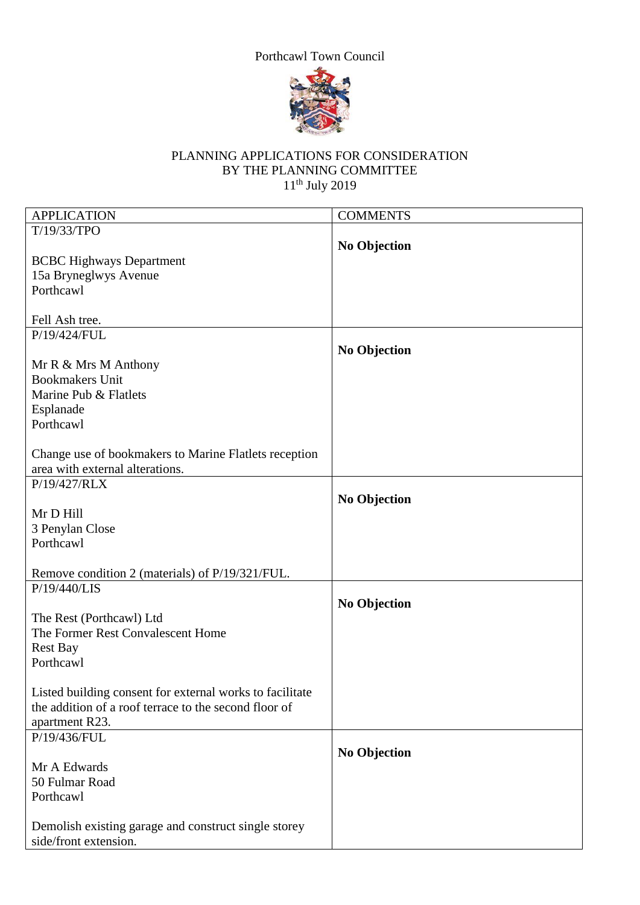# Porthcawl Town Council



## PLANNING APPLICATIONS FOR CONSIDERATION BY THE PLANNING COMMITTEE  $11<sup>th</sup>$  July 2019

| <b>APPLICATION</b>                                       | <b>COMMENTS</b>     |
|----------------------------------------------------------|---------------------|
| T/19/33/TPO                                              |                     |
|                                                          | <b>No Objection</b> |
| <b>BCBC Highways Department</b>                          |                     |
| 15a Bryneglwys Avenue                                    |                     |
|                                                          |                     |
| Porthcawl                                                |                     |
|                                                          |                     |
| Fell Ash tree.                                           |                     |
| P/19/424/FUL                                             |                     |
|                                                          |                     |
|                                                          | <b>No Objection</b> |
| Mr R & Mrs M Anthony                                     |                     |
| <b>Bookmakers Unit</b>                                   |                     |
| Marine Pub & Flatlets                                    |                     |
| Esplanade                                                |                     |
| Porthcawl                                                |                     |
|                                                          |                     |
|                                                          |                     |
| Change use of bookmakers to Marine Flatlets reception    |                     |
| area with external alterations.                          |                     |
| P/19/427/RLX                                             |                     |
|                                                          |                     |
|                                                          | <b>No Objection</b> |
| Mr D Hill                                                |                     |
| 3 Penylan Close                                          |                     |
| Porthcawl                                                |                     |
|                                                          |                     |
|                                                          |                     |
| Remove condition 2 (materials) of P/19/321/FUL.          |                     |
| P/19/440/LIS                                             |                     |
|                                                          | <b>No Objection</b> |
| The Rest (Porthcawl) Ltd                                 |                     |
| The Former Rest Convalescent Home                        |                     |
| <b>Rest Bay</b>                                          |                     |
|                                                          |                     |
| Porthcawl                                                |                     |
|                                                          |                     |
| Listed building consent for external works to facilitate |                     |
| the addition of a roof terrace to the second floor of    |                     |
| apartment R23.                                           |                     |
| P/19/436/FUL                                             |                     |
|                                                          |                     |
|                                                          | <b>No Objection</b> |
| Mr A Edwards                                             |                     |
| 50 Fulmar Road                                           |                     |
| Porthcawl                                                |                     |
|                                                          |                     |
|                                                          |                     |
| Demolish existing garage and construct single storey     |                     |
| side/front extension.                                    |                     |